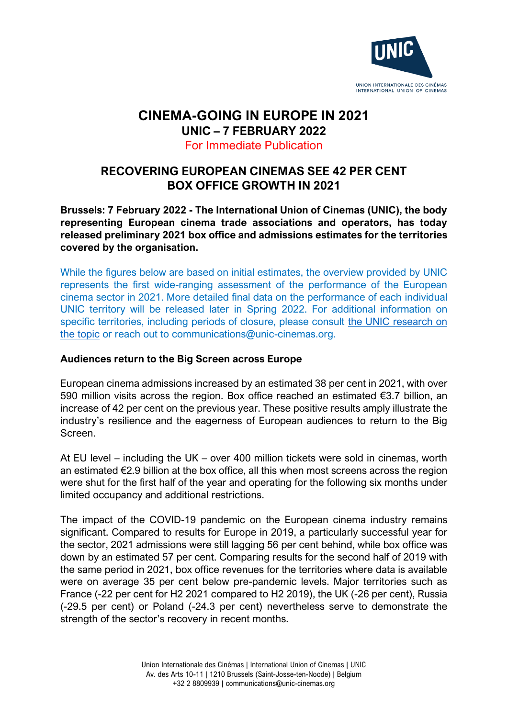

## **CINEMA-GOING IN EUROPE IN 2021 UNIC – 7 FEBRUARY 2022**

### For Immediate Publication

# **RECOVERING EUROPEAN CINEMAS SEE 42 PER CENT BOX OFFICE GROWTH IN 2021**

**Brussels: 7 February 2022 - The International Union of Cinemas (UNIC), the body representing European cinema trade associations and operators, has today released preliminary 2021 box office and admissions estimates for the territories covered by the organisation.**

While the figures below are based on initial estimates, the overview provided by UNIC represents the first wide-ranging assessment of the performance of the European cinema sector in 2021. More detailed final data on the performance of each individual UNIC territory will be released later in Spring 2022. For additional information on specific territories, including periods of closure, please consult [the UNIC research on](https://www.unic-cinemas.org/en/resources/news/news-blog/detail/the-impact-of-the-coronavirus-outbreak-on-the-european-cinema-industry/)  [the topic](https://www.unic-cinemas.org/en/resources/news/news-blog/detail/the-impact-of-the-coronavirus-outbreak-on-the-european-cinema-industry/) or reach out to communications@unic-cinemas.org.

### **Audiences return to the Big Screen across Europe**

European cinema admissions increased by an estimated 38 per cent in 2021, with over 590 million visits across the region. Box office reached an estimated €3.7 billion, an increase of 42 per cent on the previous year. These positive results amply illustrate the industry's resilience and the eagerness of European audiences to return to the Big Screen.

At EU level – including the UK – over 400 million tickets were sold in cinemas, worth an estimated  $\epsilon$ 2.9 billion at the box office, all this when most screens across the region were shut for the first half of the year and operating for the following six months under limited occupancy and additional restrictions.

The impact of the COVID-19 pandemic on the European cinema industry remains significant. Compared to results for Europe in 2019, a particularly successful year for the sector, 2021 admissions were still lagging 56 per cent behind, while box office was down by an estimated 57 per cent. Comparing results for the second half of 2019 with the same period in 2021, box office revenues for the territories where data is available were on average 35 per cent below pre-pandemic levels. Major territories such as France (-22 per cent for H2 2021 compared to H2 2019), the UK (-26 per cent), Russia (-29.5 per cent) or Poland (-24.3 per cent) nevertheless serve to demonstrate the strength of the sector's recovery in recent months.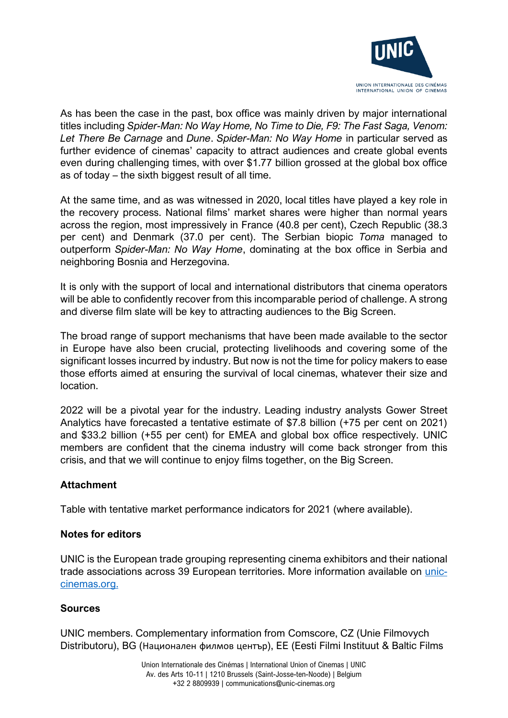

As has been the case in the past, box office was mainly driven by major international titles including *Spider-Man: No Way Home, No Time to Die, F9: The Fast Saga, Venom: Let There Be Carnage* and *Dune*. *Spider-Man: No Way Home* in particular served as further evidence of cinemas' capacity to attract audiences and create global events even during challenging times, with over \$1.77 billion grossed at the global box office as of today – the sixth biggest result of all time.

At the same time, and as was witnessed in 2020, local titles have played a key role in the recovery process. National films' market shares were higher than normal years across the region, most impressively in France (40.8 per cent), Czech Republic (38.3 per cent) and Denmark (37.0 per cent). The Serbian biopic *Toma* managed to outperform *Spider-Man: No Way Home*, dominating at the box office in Serbia and neighboring Bosnia and Herzegovina.

It is only with the support of local and international distributors that cinema operators will be able to confidently recover from this incomparable period of challenge. A strong and diverse film slate will be key to attracting audiences to the Big Screen.

The broad range of support mechanisms that have been made available to the sector in Europe have also been crucial, protecting livelihoods and covering some of the significant losses incurred by industry. But now is not the time for policy makers to ease those efforts aimed at ensuring the survival of local cinemas, whatever their size and location.

2022 will be a pivotal year for the industry. Leading industry analysts Gower Street Analytics have forecasted a tentative estimate of \$7.8 billion (+75 per cent on 2021) and \$33.2 billion (+55 per cent) for EMEA and global box office respectively. UNIC members are confident that the cinema industry will come back stronger from this crisis, and that we will continue to enjoy films together, on the Big Screen.

#### **Attachment**

Table with tentative market performance indicators for 2021 (where available).

#### **Notes for editors**

UNIC is the European trade grouping representing cinema exhibitors and their national trade associations across 39 European territories. More information available on [unic](http://www.unic-cinemas.org/)[cinemas.org.](http://www.unic-cinemas.org/)

#### **Sources**

UNIC members. Complementary information from Comscore, CZ (Unie Filmovych Distributoru), BG (Национален филмов център), EE (Eesti Filmi Instituut & Baltic Films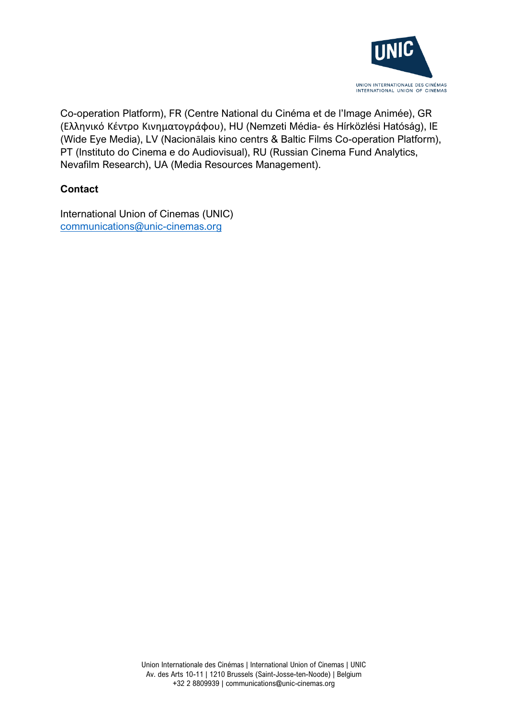

Co-operation Platform), FR (Centre National du Cinéma et de l'Image Animée), GR (Ελληνικό Κέντρο Κινηματογράφου), HU (Nemzeti Média- és Hírközlési Hatóság), IE (Wide Eye Media), LV (Nacionālais kino centrs & Baltic Films Co-operation Platform), PT (Instituto do Cinema e do Audiovisual), RU (Russian Cinema Fund Analytics, Nevafilm Research), UA (Media Resources Management).

## **Contact**

International Union of Cinemas (UNIC) [communications@unic-cinemas.org](mailto:communications@unic-cinemas.org)